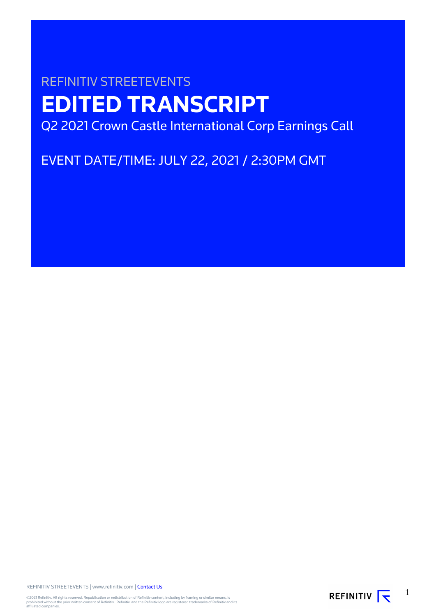# REFINITIV STREETEVENTS **EDITED TRANSCRIPT** Q2 2021 Crown Castle International Corp Earnings Call

EVENT DATE/TIME: JULY 22, 2021 / 2:30PM GMT

REFINITIV STREETEVENTS | www.refinitiv.com | [Contact Us](https://www.refinitiv.com/en/contact-us)

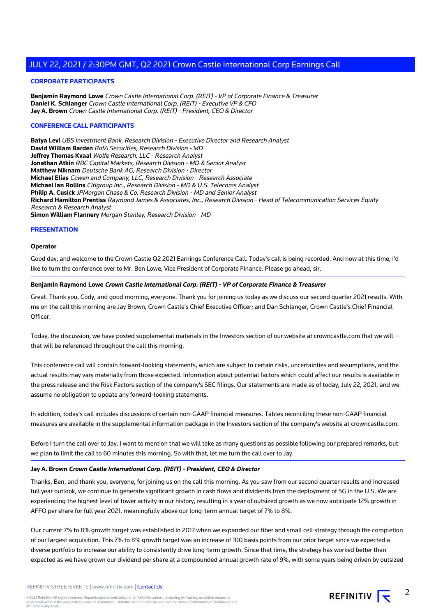#### **CORPORATE PARTICIPANTS**

**Benjamin Raymond Lowe** Crown Castle International Corp. (REIT) - VP of Corporate Finance & Treasurer **Daniel K. Schlanger** Crown Castle International Corp. (REIT) - Executive VP & CFO **Jay A. Brown** Crown Castle International Corp. (REIT) - President, CEO & Director

#### **CONFERENCE CALL PARTICIPANTS**

**Batya Levi** UBS Investment Bank, Research Division - Executive Director and Research Analyst **David William Barden** BofA Securities, Research Division - MD **Jeffrey Thomas Kvaal** Wolfe Research, LLC - Research Analyst **Jonathan Atkin** RBC Capital Markets, Research Division - MD & Senior Analyst **Matthew Niknam** Deutsche Bank AG, Research Division - Director **Michael Elias** Cowen and Company, LLC, Research Division - Research Associate **Michael Ian Rollins** Citigroup Inc., Research Division - MD & U.S. Telecoms Analyst **Philip A. Cusick** JPMorgan Chase & Co, Research Division - MD and Senior Analyst **Richard Hamilton Prentiss** Raymond James & Associates, Inc., Research Division - Head of Telecommunication Services Equity Research & Research Analyst **Simon William Flannery** Morgan Stanley, Research Division - MD

#### **PRESENTATION**

#### **Operator**

Good day, and welcome to the Crown Castle Q2 2021 Earnings Conference Call. Today's call is being recorded. And now at this time, I'd like to turn the conference over to Mr. Ben Lowe, Vice President of Corporate Finance. Please go ahead, sir.

#### **Benjamin Raymond Lowe Crown Castle International Corp. (REIT) - VP of Corporate Finance & Treasurer**

Great. Thank you, Cody, and good morning, everyone. Thank you for joining us today as we discuss our second quarter 2021 results. With me on the call this morning are Jay Brown, Crown Castle's Chief Executive Officer; and Dan Schlanger, Crown Castle's Chief Financial Officer.

Today, the discussion, we have posted supplemental materials in the Investors section of our website at crowncastle.com that we will - that will be referenced throughout the call this morning.

This conference call will contain forward-looking statements, which are subject to certain risks, uncertainties and assumptions, and the actual results may vary materially from those expected. Information about potential factors which could affect our results is available in the press release and the Risk Factors section of the company's SEC filings. Our statements are made as of today, July 22, 2021, and we assume no obligation to update any forward-looking statements.

In addition, today's call includes discussions of certain non-GAAP financial measures. Tables reconciling these non-GAAP financial measures are available in the supplemental information package in the Investors section of the company's website at crowncastle.com.

Before I turn the call over to Jay, I want to mention that we will take as many questions as possible following our prepared remarks, but we plan to limit the call to 60 minutes this morning. So with that, let me turn the call over to Jay.

#### **Jay A. Brown Crown Castle International Corp. (REIT) - President, CEO & Director**

Thanks, Ben, and thank you, everyone, for joining us on the call this morning. As you saw from our second quarter results and increased full year outlook, we continue to generate significant growth in cash flows and dividends from the deployment of 5G in the U.S. We are experiencing the highest level of tower activity in our history, resulting in a year of outsized growth as we now anticipate 12% growth in AFFO per share for full year 2021, meaningfully above our long-term annual target of 7% to 8%.

Our current 7% to 8% growth target was established in 2017 when we expanded our fiber and small cell strategy through the completion of our largest acquisition. This 7% to 8% growth target was an increase of 100 basis points from our prior target since we expected a diverse portfolio to increase our ability to consistently drive long-term growth. Since that time, the strategy has worked better than expected as we have grown our dividend per share at a compounded annual growth rate of 9%, with some years being driven by outsized

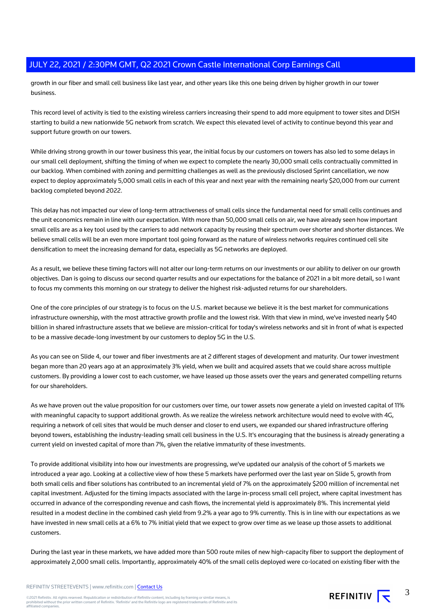growth in our fiber and small cell business like last year, and other years like this one being driven by higher growth in our tower business.

This record level of activity is tied to the existing wireless carriers increasing their spend to add more equipment to tower sites and DISH starting to build a new nationwide 5G network from scratch. We expect this elevated level of activity to continue beyond this year and support future growth on our towers.

While driving strong growth in our tower business this year, the initial focus by our customers on towers has also led to some delays in our small cell deployment, shifting the timing of when we expect to complete the nearly 30,000 small cells contractually committed in our backlog. When combined with zoning and permitting challenges as well as the previously disclosed Sprint cancellation, we now expect to deploy approximately 5,000 small cells in each of this year and next year with the remaining nearly \$20,000 from our current backlog completed beyond 2022.

This delay has not impacted our view of long-term attractiveness of small cells since the fundamental need for small cells continues and the unit economics remain in line with our expectation. With more than 50,000 small cells on air, we have already seen how important small cells are as a key tool used by the carriers to add network capacity by reusing their spectrum over shorter and shorter distances. We believe small cells will be an even more important tool going forward as the nature of wireless networks requires continued cell site densification to meet the increasing demand for data, especially as 5G networks are deployed.

As a result, we believe these timing factors will not alter our long-term returns on our investments or our ability to deliver on our growth objectives. Dan is going to discuss our second quarter results and our expectations for the balance of 2021 in a bit more detail, so I want to focus my comments this morning on our strategy to deliver the highest risk-adjusted returns for our shareholders.

One of the core principles of our strategy is to focus on the U.S. market because we believe it is the best market for communications infrastructure ownership, with the most attractive growth profile and the lowest risk. With that view in mind, we've invested nearly \$40 billion in shared infrastructure assets that we believe are mission-critical for today's wireless networks and sit in front of what is expected to be a massive decade-long investment by our customers to deploy 5G in the U.S.

As you can see on Slide 4, our tower and fiber investments are at 2 different stages of development and maturity. Our tower investment began more than 20 years ago at an approximately 3% yield, when we built and acquired assets that we could share across multiple customers. By providing a lower cost to each customer, we have leased up those assets over the years and generated compelling returns for our shareholders.

As we have proven out the value proposition for our customers over time, our tower assets now generate a yield on invested capital of 11% with meaningful capacity to support additional growth. As we realize the wireless network architecture would need to evolve with 4G, requiring a network of cell sites that would be much denser and closer to end users, we expanded our shared infrastructure offering beyond towers, establishing the industry-leading small cell business in the U.S. It's encouraging that the business is already generating a current yield on invested capital of more than 7%, given the relative immaturity of these investments.

To provide additional visibility into how our investments are progressing, we've updated our analysis of the cohort of 5 markets we introduced a year ago. Looking at a collective view of how these 5 markets have performed over the last year on Slide 5, growth from both small cells and fiber solutions has contributed to an incremental yield of 7% on the approximately \$200 million of incremental net capital investment. Adjusted for the timing impacts associated with the large in-process small cell project, where capital investment has occurred in advance of the corresponding revenue and cash flows, the incremental yield is approximately 8%. This incremental yield resulted in a modest decline in the combined cash yield from 9.2% a year ago to 9% currently. This is in line with our expectations as we have invested in new small cells at a 6% to 7% initial yield that we expect to grow over time as we lease up those assets to additional customers.

During the last year in these markets, we have added more than 500 route miles of new high-capacity fiber to support the deployment of approximately 2,000 small cells. Importantly, approximately 40% of the small cells deployed were co-located on existing fiber with the

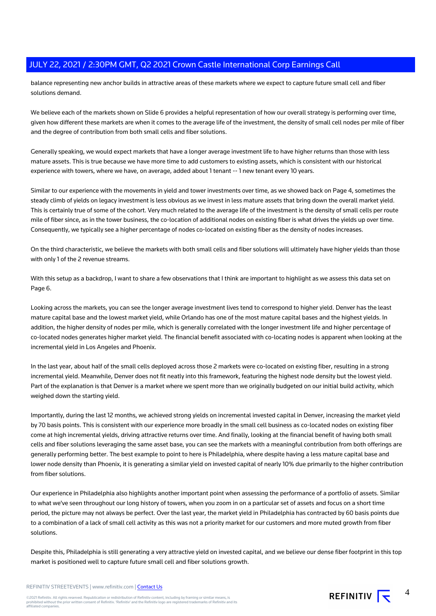balance representing new anchor builds in attractive areas of these markets where we expect to capture future small cell and fiber solutions demand.

We believe each of the markets shown on Slide 6 provides a helpful representation of how our overall strategy is performing over time, given how different these markets are when it comes to the average life of the investment, the density of small cell nodes per mile of fiber and the degree of contribution from both small cells and fiber solutions.

Generally speaking, we would expect markets that have a longer average investment life to have higher returns than those with less mature assets. This is true because we have more time to add customers to existing assets, which is consistent with our historical experience with towers, where we have, on average, added about 1 tenant -- 1 new tenant every 10 years.

Similar to our experience with the movements in yield and tower investments over time, as we showed back on Page 4, sometimes the steady climb of yields on legacy investment is less obvious as we invest in less mature assets that bring down the overall market yield. This is certainly true of some of the cohort. Very much related to the average life of the investment is the density of small cells per route mile of fiber since, as in the tower business, the co-location of additional nodes on existing fiber is what drives the yields up over time. Consequently, we typically see a higher percentage of nodes co-located on existing fiber as the density of nodes increases.

On the third characteristic, we believe the markets with both small cells and fiber solutions will ultimately have higher yields than those with only 1 of the 2 revenue streams.

With this setup as a backdrop, I want to share a few observations that I think are important to highlight as we assess this data set on Page 6.

Looking across the markets, you can see the longer average investment lives tend to correspond to higher yield. Denver has the least mature capital base and the lowest market yield, while Orlando has one of the most mature capital bases and the highest yields. In addition, the higher density of nodes per mile, which is generally correlated with the longer investment life and higher percentage of co-located nodes generates higher market yield. The financial benefit associated with co-locating nodes is apparent when looking at the incremental yield in Los Angeles and Phoenix.

In the last year, about half of the small cells deployed across those 2 markets were co-located on existing fiber, resulting in a strong incremental yield. Meanwhile, Denver does not fit neatly into this framework, featuring the highest node density but the lowest yield. Part of the explanation is that Denver is a market where we spent more than we originally budgeted on our initial build activity, which weighed down the starting yield.

Importantly, during the last 12 months, we achieved strong yields on incremental invested capital in Denver, increasing the market yield by 70 basis points. This is consistent with our experience more broadly in the small cell business as co-located nodes on existing fiber come at high incremental yields, driving attractive returns over time. And finally, looking at the financial benefit of having both small cells and fiber solutions leveraging the same asset base, you can see the markets with a meaningful contribution from both offerings are generally performing better. The best example to point to here is Philadelphia, where despite having a less mature capital base and lower node density than Phoenix, it is generating a similar yield on invested capital of nearly 10% due primarily to the higher contribution from fiber solutions.

Our experience in Philadelphia also highlights another important point when assessing the performance of a portfolio of assets. Similar to what we've seen throughout our long history of towers, when you zoom in on a particular set of assets and focus on a short time period, the picture may not always be perfect. Over the last year, the market yield in Philadelphia has contracted by 60 basis points due to a combination of a lack of small cell activity as this was not a priority market for our customers and more muted growth from fiber solutions.

Despite this, Philadelphia is still generating a very attractive yield on invested capital, and we believe our dense fiber footprint in this top market is positioned well to capture future small cell and fiber solutions growth.

REFINITIV STREETEVENTS | www.refinitiv.com | [Contact Us](https://www.refinitiv.com/en/contact-us)

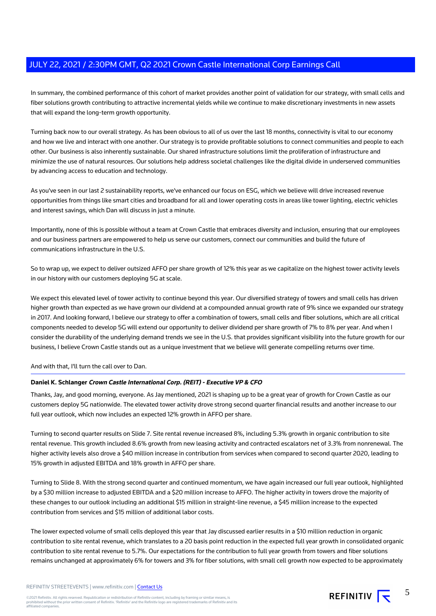In summary, the combined performance of this cohort of market provides another point of validation for our strategy, with small cells and fiber solutions growth contributing to attractive incremental yields while we continue to make discretionary investments in new assets that will expand the long-term growth opportunity.

Turning back now to our overall strategy. As has been obvious to all of us over the last 18 months, connectivity is vital to our economy and how we live and interact with one another. Our strategy is to provide profitable solutions to connect communities and people to each other. Our business is also inherently sustainable. Our shared infrastructure solutions limit the proliferation of infrastructure and minimize the use of natural resources. Our solutions help address societal challenges like the digital divide in underserved communities by advancing access to education and technology.

As you've seen in our last 2 sustainability reports, we've enhanced our focus on ESG, which we believe will drive increased revenue opportunities from things like smart cities and broadband for all and lower operating costs in areas like tower lighting, electric vehicles and interest savings, which Dan will discuss in just a minute.

Importantly, none of this is possible without a team at Crown Castle that embraces diversity and inclusion, ensuring that our employees and our business partners are empowered to help us serve our customers, connect our communities and build the future of communications infrastructure in the U.S.

So to wrap up, we expect to deliver outsized AFFO per share growth of 12% this year as we capitalize on the highest tower activity levels in our history with our customers deploying 5G at scale.

We expect this elevated level of tower activity to continue beyond this year. Our diversified strategy of towers and small cells has driven higher growth than expected as we have grown our dividend at a compounded annual growth rate of 9% since we expanded our strategy in 2017. And looking forward, I believe our strategy to offer a combination of towers, small cells and fiber solutions, which are all critical components needed to develop 5G will extend our opportunity to deliver dividend per share growth of 7% to 8% per year. And when I consider the durability of the underlying demand trends we see in the U.S. that provides significant visibility into the future growth for our business, I believe Crown Castle stands out as a unique investment that we believe will generate compelling returns over time.

And with that, I'll turn the call over to Dan.

#### **Daniel K. Schlanger Crown Castle International Corp. (REIT) - Executive VP & CFO**

Thanks, Jay, and good morning, everyone. As Jay mentioned, 2021 is shaping up to be a great year of growth for Crown Castle as our customers deploy 5G nationwide. The elevated tower activity drove strong second quarter financial results and another increase to our full year outlook, which now includes an expected 12% growth in AFFO per share.

Turning to second quarter results on Slide 7. Site rental revenue increased 8%, including 5.3% growth in organic contribution to site rental revenue. This growth included 8.6% growth from new leasing activity and contracted escalators net of 3.3% from nonrenewal. The higher activity levels also drove a \$40 million increase in contribution from services when compared to second quarter 2020, leading to 15% growth in adjusted EBITDA and 18% growth in AFFO per share.

Turning to Slide 8. With the strong second quarter and continued momentum, we have again increased our full year outlook, highlighted by a \$30 million increase to adjusted EBITDA and a \$20 million increase to AFFO. The higher activity in towers drove the majority of these changes to our outlook including an additional \$15 million in straight-line revenue, a \$45 million increase to the expected contribution from services and \$15 million of additional labor costs.

The lower expected volume of small cells deployed this year that Jay discussed earlier results in a \$10 million reduction in organic contribution to site rental revenue, which translates to a 20 basis point reduction in the expected full year growth in consolidated organic contribution to site rental revenue to 5.7%. Our expectations for the contribution to full year growth from towers and fiber solutions remains unchanged at approximately 6% for towers and 3% for fiber solutions, with small cell growth now expected to be approximately

©2021 Refinitiv. All rights reserved. Republication or redistribution of Refinitiv content, including by framing or similar means, is<br>prohibited without the prior written consent of Refinitiv. 'Refinitiv' and the Refinitiv affiliated companies.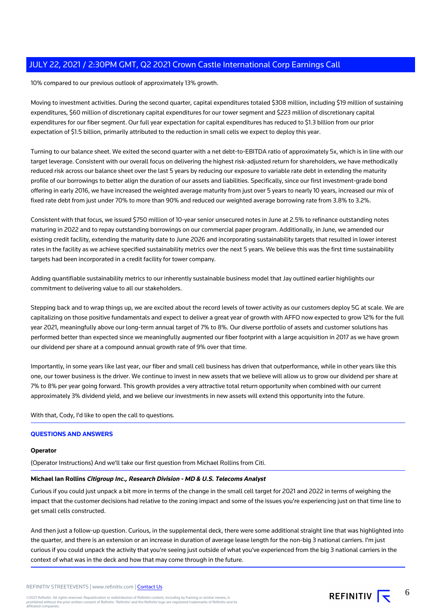10% compared to our previous outlook of approximately 13% growth.

Moving to investment activities. During the second quarter, capital expenditures totaled \$308 million, including \$19 million of sustaining expenditures, \$60 million of discretionary capital expenditures for our tower segment and \$223 million of discretionary capital expenditures for our fiber segment. Our full year expectation for capital expenditures has reduced to \$1.3 billion from our prior expectation of \$1.5 billion, primarily attributed to the reduction in small cells we expect to deploy this year.

Turning to our balance sheet. We exited the second quarter with a net debt-to-EBITDA ratio of approximately 5x, which is in line with our target leverage. Consistent with our overall focus on delivering the highest risk-adjusted return for shareholders, we have methodically reduced risk across our balance sheet over the last 5 years by reducing our exposure to variable rate debt in extending the maturity profile of our borrowings to better align the duration of our assets and liabilities. Specifically, since our first investment-grade bond offering in early 2016, we have increased the weighted average maturity from just over 5 years to nearly 10 years, increased our mix of fixed rate debt from just under 70% to more than 90% and reduced our weighted average borrowing rate from 3.8% to 3.2%.

Consistent with that focus, we issued \$750 million of 10-year senior unsecured notes in June at 2.5% to refinance outstanding notes maturing in 2022 and to repay outstanding borrowings on our commercial paper program. Additionally, in June, we amended our existing credit facility, extending the maturity date to June 2026 and incorporating sustainability targets that resulted in lower interest rates in the facility as we achieve specified sustainability metrics over the next 5 years. We believe this was the first time sustainability targets had been incorporated in a credit facility for tower company.

Adding quantifiable sustainability metrics to our inherently sustainable business model that Jay outlined earlier highlights our commitment to delivering value to all our stakeholders.

Stepping back and to wrap things up, we are excited about the record levels of tower activity as our customers deploy 5G at scale. We are capitalizing on those positive fundamentals and expect to deliver a great year of growth with AFFO now expected to grow 12% for the full year 2021, meaningfully above our long-term annual target of 7% to 8%. Our diverse portfolio of assets and customer solutions has performed better than expected since we meaningfully augmented our fiber footprint with a large acquisition in 2017 as we have grown our dividend per share at a compound annual growth rate of 9% over that time.

Importantly, in some years like last year, our fiber and small cell business has driven that outperformance, while in other years like this one, our tower business is the driver. We continue to invest in new assets that we believe will allow us to grow our dividend per share at 7% to 8% per year going forward. This growth provides a very attractive total return opportunity when combined with our current approximately 3% dividend yield, and we believe our investments in new assets will extend this opportunity into the future.

With that, Cody, I'd like to open the call to questions.

## **QUESTIONS AND ANSWERS**

#### **Operator**

(Operator Instructions) And we'll take our first question from Michael Rollins from Citi.

#### **Michael Ian Rollins Citigroup Inc., Research Division - MD & U.S. Telecoms Analyst**

Curious if you could just unpack a bit more in terms of the change in the small cell target for 2021 and 2022 in terms of weighing the impact that the customer decisions had relative to the zoning impact and some of the issues you're experiencing just on that time line to get small cells constructed.

And then just a follow-up question. Curious, in the supplemental deck, there were some additional straight line that was highlighted into the quarter, and there is an extension or an increase in duration of average lease length for the non-big 3 national carriers. I'm just curious if you could unpack the activity that you're seeing just outside of what you've experienced from the big 3 national carriers in the context of what was in the deck and how that may come through in the future.

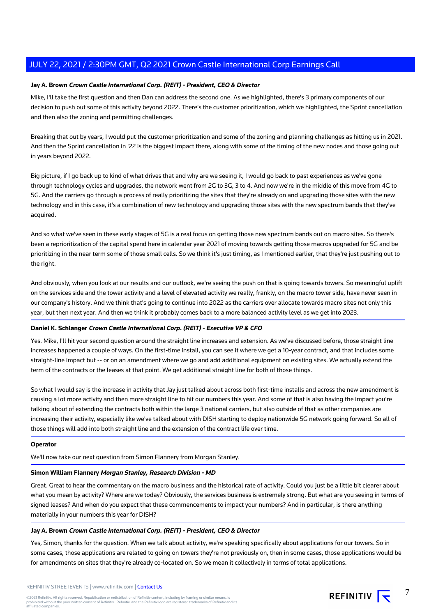## **Jay A. Brown Crown Castle International Corp. (REIT) - President, CEO & Director**

Mike, I'll take the first question and then Dan can address the second one. As we highlighted, there's 3 primary components of our decision to push out some of this activity beyond 2022. There's the customer prioritization, which we highlighted, the Sprint cancellation and then also the zoning and permitting challenges.

Breaking that out by years, I would put the customer prioritization and some of the zoning and planning challenges as hitting us in 2021. And then the Sprint cancellation in '22 is the biggest impact there, along with some of the timing of the new nodes and those going out in years beyond 2022.

Big picture, if I go back up to kind of what drives that and why are we seeing it, I would go back to past experiences as we've gone through technology cycles and upgrades, the network went from 2G to 3G, 3 to 4. And now we're in the middle of this move from 4G to 5G. And the carriers go through a process of really prioritizing the sites that they're already on and upgrading those sites with the new technology and in this case, it's a combination of new technology and upgrading those sites with the new spectrum bands that they've acquired.

And so what we've seen in these early stages of 5G is a real focus on getting those new spectrum bands out on macro sites. So there's been a reprioritization of the capital spend here in calendar year 2021 of moving towards getting those macros upgraded for 5G and be prioritizing in the near term some of those small cells. So we think it's just timing, as I mentioned earlier, that they're just pushing out to the right.

And obviously, when you look at our results and our outlook, we're seeing the push on that is going towards towers. So meaningful uplift on the services side and the tower activity and a level of elevated activity we really, frankly, on the macro tower side, have never seen in our company's history. And we think that's going to continue into 2022 as the carriers over allocate towards macro sites not only this year, but then next year. And then we think it probably comes back to a more balanced activity level as we get into 2023.

## **Daniel K. Schlanger Crown Castle International Corp. (REIT) - Executive VP & CFO**

Yes. Mike, I'll hit your second question around the straight line increases and extension. As we've discussed before, those straight line increases happened a couple of ways. On the first-time install, you can see it where we get a 10-year contract, and that includes some straight-line impact but -- or on an amendment where we go and add additional equipment on existing sites. We actually extend the term of the contracts or the leases at that point. We get additional straight line for both of those things.

So what I would say is the increase in activity that Jay just talked about across both first-time installs and across the new amendment is causing a lot more activity and then more straight line to hit our numbers this year. And some of that is also having the impact you're talking about of extending the contracts both within the large 3 national carriers, but also outside of that as other companies are increasing their activity, especially like we've talked about with DISH starting to deploy nationwide 5G network going forward. So all of those things will add into both straight line and the extension of the contract life over time.

#### **Operator**

We'll now take our next question from Simon Flannery from Morgan Stanley.

#### **Simon William Flannery Morgan Stanley, Research Division - MD**

Great. Great to hear the commentary on the macro business and the historical rate of activity. Could you just be a little bit clearer about what you mean by activity? Where are we today? Obviously, the services business is extremely strong. But what are you seeing in terms of signed leases? And when do you expect that these commencements to impact your numbers? And in particular, is there anything materially in your numbers this year for DISH?

#### **Jay A. Brown Crown Castle International Corp. (REIT) - President, CEO & Director**

Yes, Simon, thanks for the question. When we talk about activity, we're speaking specifically about applications for our towers. So in some cases, those applications are related to going on towers they're not previously on, then in some cases, those applications would be for amendments on sites that they're already co-located on. So we mean it collectively in terms of total applications.

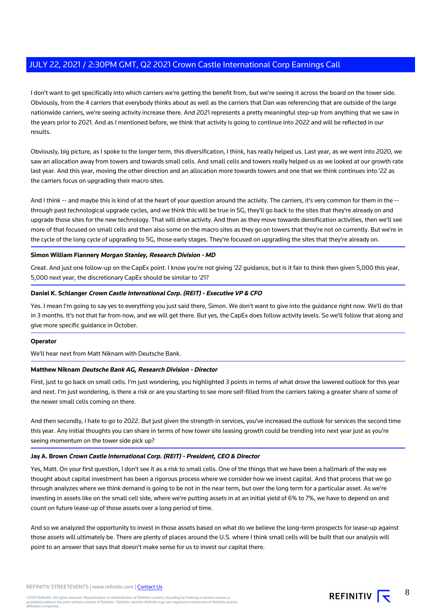I don't want to get specifically into which carriers we're getting the benefit from, but we're seeing it across the board on the tower side. Obviously, from the 4 carriers that everybody thinks about as well as the carriers that Dan was referencing that are outside of the large nationwide carriers, we're seeing activity increase there. And 2021 represents a pretty meaningful step-up from anything that we saw in the years prior to 2021. And as I mentioned before, we think that activity is going to continue into 2022 and will be reflected in our results.

Obviously, big picture, as I spoke to the longer term, this diversification, I think, has really helped us. Last year, as we went into 2020, we saw an allocation away from towers and towards small cells. And small cells and towers really helped us as we looked at our growth rate last year. And this year, moving the other direction and an allocation more towards towers and one that we think continues into '22 as the carriers focus on upgrading their macro sites.

And I think -- and maybe this is kind of at the heart of your question around the activity. The carriers, it's very common for them in the -through past technological upgrade cycles, and we think this will be true in 5G, they'll go back to the sites that they're already on and upgrade those sites for the new technology. That will drive activity. And then as they move towards densification activities, then we'll see more of that focused on small cells and then also some on the macro sites as they go on towers that they're not on currently. But we're in the cycle of the long cycle of upgrading to 5G, those early stages. They're focused on upgrading the sites that they're already on.

#### **Simon William Flannery Morgan Stanley, Research Division - MD**

Great. And just one follow-up on the CapEx point. I know you're not giving '22 guidance, but is it fair to think then given 5,000 this year, 5,000 next year, the discretionary CapEx should be similar to '21?

#### **Daniel K. Schlanger Crown Castle International Corp. (REIT) - Executive VP & CFO**

Yes. I mean I'm going to say yes to everything you just said there, Simon. We don't want to give into the guidance right now. We'll do that in 3 months. It's not that far from now, and we will get there. But yes, the CapEx does follow activity levels. So we'll follow that along and give more specific guidance in October.

#### **Operator**

We'll hear next from Matt Niknam with Deutsche Bank.

#### **Matthew Niknam Deutsche Bank AG, Research Division - Director**

First, just to go back on small cells. I'm just wondering, you highlighted 3 points in terms of what drove the lowered outlook for this year and next. I'm just wondering, is there a risk or are you starting to see more self-filled from the carriers taking a greater share of some of the newer small cells coming on there.

And then secondly, I hate to go to 2022. But just given the strength in services, you've increased the outlook for services the second time this year. Any initial thoughts you can share in terms of how tower site leasing growth could be trending into next year just as you're seeing momentum on the tower side pick up?

#### **Jay A. Brown Crown Castle International Corp. (REIT) - President, CEO & Director**

Yes, Matt. On your first question, I don't see it as a risk to small cells. One of the things that we have been a hallmark of the way we thought about capital investment has been a rigorous process where we consider how we invest capital. And that process that we go through analyzes where we think demand is going to be not in the near term, but over the long term for a particular asset. As we're investing in assets like on the small cell side, where we're putting assets in at an initial yield of 6% to 7%, we have to depend on and count on future lease-up of those assets over a long period of time.

And so we analyzed the opportunity to invest in those assets based on what do we believe the long-term prospects for lease-up against those assets will ultimately be. There are plenty of places around the U.S. where I think small cells will be built that our analysis will point to an answer that says that doesn't make sense for us to invest our capital there.

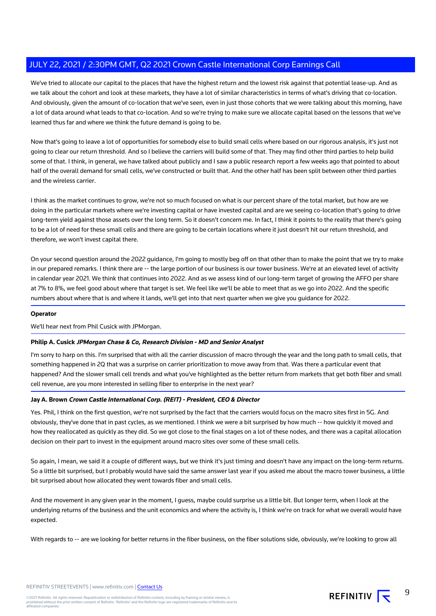We've tried to allocate our capital to the places that have the highest return and the lowest risk against that potential lease-up. And as we talk about the cohort and look at these markets, they have a lot of similar characteristics in terms of what's driving that co-location. And obviously, given the amount of co-location that we've seen, even in just those cohorts that we were talking about this morning, have a lot of data around what leads to that co-location. And so we're trying to make sure we allocate capital based on the lessons that we've learned thus far and where we think the future demand is going to be.

Now that's going to leave a lot of opportunities for somebody else to build small cells where based on our rigorous analysis, it's just not going to clear our return threshold. And so I believe the carriers will build some of that. They may find other third parties to help build some of that. I think, in general, we have talked about publicly and I saw a public research report a few weeks ago that pointed to about half of the overall demand for small cells, we've constructed or built that. And the other half has been split between other third parties and the wireless carrier.

I think as the market continues to grow, we're not so much focused on what is our percent share of the total market, but how are we doing in the particular markets where we're investing capital or have invested capital and are we seeing co-location that's going to drive long-term yield against those assets over the long term. So it doesn't concern me. In fact, I think it points to the reality that there's going to be a lot of need for these small cells and there are going to be certain locations where it just doesn't hit our return threshold, and therefore, we won't invest capital there.

On your second question around the 2022 guidance, I'm going to mostly beg off on that other than to make the point that we try to make in our prepared remarks. I think there are -- the large portion of our business is our tower business. We're at an elevated level of activity in calendar year 2021. We think that continues into 2022. And as we assess kind of our long-term target of growing the AFFO per share at 7% to 8%, we feel good about where that target is set. We feel like we'll be able to meet that as we go into 2022. And the specific numbers about where that is and where it lands, we'll get into that next quarter when we give you guidance for 2022.

#### **Operator**

We'll hear next from Phil Cusick with JPMorgan.

#### **Philip A. Cusick JPMorgan Chase & Co, Research Division - MD and Senior Analyst**

I'm sorry to harp on this. I'm surprised that with all the carrier discussion of macro through the year and the long path to small cells, that something happened in 2Q that was a surprise on carrier prioritization to move away from that. Was there a particular event that happened? And the slower small cell trends and what you've highlighted as the better return from markets that get both fiber and small cell revenue, are you more interested in selling fiber to enterprise in the next year?

#### **Jay A. Brown Crown Castle International Corp. (REIT) - President, CEO & Director**

Yes. Phil, I think on the first question, we're not surprised by the fact that the carriers would focus on the macro sites first in 5G. And obviously, they've done that in past cycles, as we mentioned. I think we were a bit surprised by how much -- how quickly it moved and how they reallocated as quickly as they did. So we got close to the final stages on a lot of these nodes, and there was a capital allocation decision on their part to invest in the equipment around macro sites over some of these small cells.

So again, I mean, we said it a couple of different ways, but we think it's just timing and doesn't have any impact on the long-term returns. So a little bit surprised, but I probably would have said the same answer last year if you asked me about the macro tower business, a little bit surprised about how allocated they went towards fiber and small cells.

And the movement in any given year in the moment, I guess, maybe could surprise us a little bit. But longer term, when I look at the underlying returns of the business and the unit economics and where the activity is, I think we're on track for what we overall would have expected.

With regards to -- are we looking for better returns in the fiber business, on the fiber solutions side, obviously, we're looking to grow all

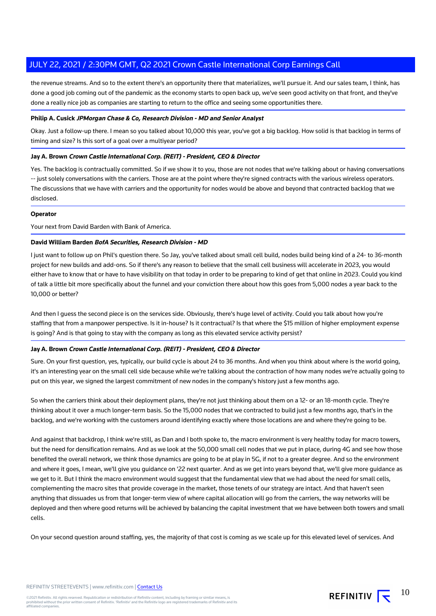the revenue streams. And so to the extent there's an opportunity there that materializes, we'll pursue it. And our sales team, I think, has done a good job coming out of the pandemic as the economy starts to open back up, we've seen good activity on that front, and they've done a really nice job as companies are starting to return to the office and seeing some opportunities there.

#### **Philip A. Cusick JPMorgan Chase & Co, Research Division - MD and Senior Analyst**

Okay. Just a follow-up there. I mean so you talked about 10,000 this year, you've got a big backlog. How solid is that backlog in terms of timing and size? Is this sort of a goal over a multiyear period?

#### **Jay A. Brown Crown Castle International Corp. (REIT) - President, CEO & Director**

Yes. The backlog is contractually committed. So if we show it to you, those are not nodes that we're talking about or having conversations -- just solely conversations with the carriers. Those are at the point where they're signed contracts with the various wireless operators. The discussions that we have with carriers and the opportunity for nodes would be above and beyond that contracted backlog that we disclosed.

#### **Operator**

Your next from David Barden with Bank of America.

#### **David William Barden BofA Securities, Research Division - MD**

I just want to follow up on Phil's question there. So Jay, you've talked about small cell build, nodes build being kind of a 24- to 36-month project for new builds and add-ons. So if there's any reason to believe that the small cell business will accelerate in 2023, you would either have to know that or have to have visibility on that today in order to be preparing to kind of get that online in 2023. Could you kind of talk a little bit more specifically about the funnel and your conviction there about how this goes from 5,000 nodes a year back to the 10,000 or better?

And then I guess the second piece is on the services side. Obviously, there's huge level of activity. Could you talk about how you're staffing that from a manpower perspective. Is it in-house? Is it contractual? Is that where the \$15 million of higher employment expense is going? And is that going to stay with the company as long as this elevated service activity persist?

#### **Jay A. Brown Crown Castle International Corp. (REIT) - President, CEO & Director**

Sure. On your first question, yes, typically, our build cycle is about 24 to 36 months. And when you think about where is the world going, it's an interesting year on the small cell side because while we're talking about the contraction of how many nodes we're actually going to put on this year, we signed the largest commitment of new nodes in the company's history just a few months ago.

So when the carriers think about their deployment plans, they're not just thinking about them on a 12- or an 18-month cycle. They're thinking about it over a much longer-term basis. So the 15,000 nodes that we contracted to build just a few months ago, that's in the backlog, and we're working with the customers around identifying exactly where those locations are and where they're going to be.

And against that backdrop, I think we're still, as Dan and I both spoke to, the macro environment is very healthy today for macro towers, but the need for densification remains. And as we look at the 50,000 small cell nodes that we put in place, during 4G and see how those benefited the overall network, we think those dynamics are going to be at play in 5G, if not to a greater degree. And so the environment and where it goes, I mean, we'll give you guidance on '22 next quarter. And as we get into years beyond that, we'll give more guidance as we get to it. But I think the macro environment would suggest that the fundamental view that we had about the need for small cells, complementing the macro sites that provide coverage in the market, those tenets of our strategy are intact. And that haven't seen anything that dissuades us from that longer-term view of where capital allocation will go from the carriers, the way networks will be deployed and then where good returns will be achieved by balancing the capital investment that we have between both towers and small cells.

On your second question around staffing, yes, the majority of that cost is coming as we scale up for this elevated level of services. And

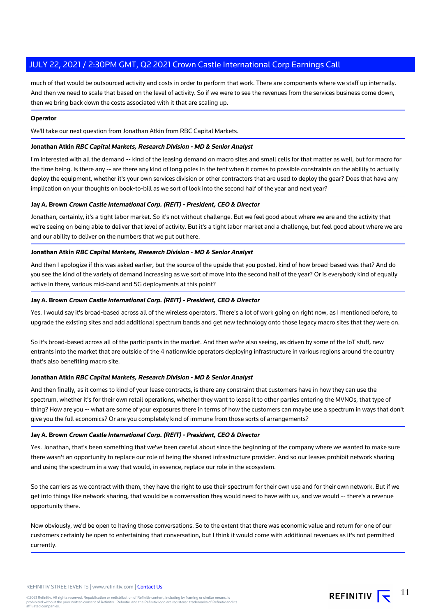much of that would be outsourced activity and costs in order to perform that work. There are components where we staff up internally. And then we need to scale that based on the level of activity. So if we were to see the revenues from the services business come down, then we bring back down the costs associated with it that are scaling up.

#### **Operator**

We'll take our next question from Jonathan Atkin from RBC Capital Markets.

#### **Jonathan Atkin RBC Capital Markets, Research Division - MD & Senior Analyst**

I'm interested with all the demand -- kind of the leasing demand on macro sites and small cells for that matter as well, but for macro for the time being. Is there any -- are there any kind of long poles in the tent when it comes to possible constraints on the ability to actually deploy the equipment, whether it's your own services division or other contractors that are used to deploy the gear? Does that have any implication on your thoughts on book-to-bill as we sort of look into the second half of the year and next year?

#### **Jay A. Brown Crown Castle International Corp. (REIT) - President, CEO & Director**

Jonathan, certainly, it's a tight labor market. So it's not without challenge. But we feel good about where we are and the activity that we're seeing on being able to deliver that level of activity. But it's a tight labor market and a challenge, but feel good about where we are and our ability to deliver on the numbers that we put out here.

#### **Jonathan Atkin RBC Capital Markets, Research Division - MD & Senior Analyst**

And then I apologize if this was asked earlier, but the source of the upside that you posted, kind of how broad-based was that? And do you see the kind of the variety of demand increasing as we sort of move into the second half of the year? Or is everybody kind of equally active in there, various mid-band and 5G deployments at this point?

#### **Jay A. Brown Crown Castle International Corp. (REIT) - President, CEO & Director**

Yes. I would say it's broad-based across all of the wireless operators. There's a lot of work going on right now, as I mentioned before, to upgrade the existing sites and add additional spectrum bands and get new technology onto those legacy macro sites that they were on.

So it's broad-based across all of the participants in the market. And then we're also seeing, as driven by some of the IoT stuff, new entrants into the market that are outside of the 4 nationwide operators deploying infrastructure in various regions around the country that's also benefiting macro site.

#### **Jonathan Atkin RBC Capital Markets, Research Division - MD & Senior Analyst**

And then finally, as it comes to kind of your lease contracts, is there any constraint that customers have in how they can use the spectrum, whether it's for their own retail operations, whether they want to lease it to other parties entering the MVNOs, that type of thing? How are you -- what are some of your exposures there in terms of how the customers can maybe use a spectrum in ways that don't give you the full economics? Or are you completely kind of immune from those sorts of arrangements?

#### **Jay A. Brown Crown Castle International Corp. (REIT) - President, CEO & Director**

Yes. Jonathan, that's been something that we've been careful about since the beginning of the company where we wanted to make sure there wasn't an opportunity to replace our role of being the shared infrastructure provider. And so our leases prohibit network sharing and using the spectrum in a way that would, in essence, replace our role in the ecosystem.

So the carriers as we contract with them, they have the right to use their spectrum for their own use and for their own network. But if we get into things like network sharing, that would be a conversation they would need to have with us, and we would -- there's a revenue opportunity there.

Now obviously, we'd be open to having those conversations. So to the extent that there was economic value and return for one of our customers certainly be open to entertaining that conversation, but I think it would come with additional revenues as it's not permitted currently.

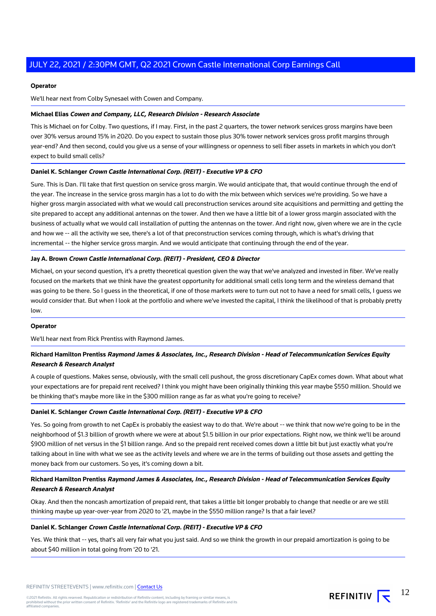#### **Operator**

We'll hear next from Colby Synesael with Cowen and Company.

#### **Michael Elias Cowen and Company, LLC, Research Division - Research Associate**

This is Michael on for Colby. Two questions, if I may. First, in the past 2 quarters, the tower network services gross margins have been over 30% versus around 15% in 2020. Do you expect to sustain those plus 30% tower network services gross profit margins through year-end? And then second, could you give us a sense of your willingness or openness to sell fiber assets in markets in which you don't expect to build small cells?

#### **Daniel K. Schlanger Crown Castle International Corp. (REIT) - Executive VP & CFO**

Sure. This is Dan. I'll take that first question on service gross margin. We would anticipate that, that would continue through the end of the year. The increase in the service gross margin has a lot to do with the mix between which services we're providing. So we have a higher gross margin associated with what we would call preconstruction services around site acquisitions and permitting and getting the site prepared to accept any additional antennas on the tower. And then we have a little bit of a lower gross margin associated with the business of actually what we would call installation of putting the antennas on the tower. And right now, given where we are in the cycle and how we -- all the activity we see, there's a lot of that preconstruction services coming through, which is what's driving that incremental -- the higher service gross margin. And we would anticipate that continuing through the end of the year.

#### **Jay A. Brown Crown Castle International Corp. (REIT) - President, CEO & Director**

Michael, on your second question, it's a pretty theoretical question given the way that we've analyzed and invested in fiber. We've really focused on the markets that we think have the greatest opportunity for additional small cells long term and the wireless demand that was going to be there. So I guess in the theoretical, if one of those markets were to turn out not to have a need for small cells, I guess we would consider that. But when I look at the portfolio and where we've invested the capital, I think the likelihood of that is probably pretty low.

#### **Operator**

We'll hear next from Rick Prentiss with Raymond James.

## **Richard Hamilton Prentiss Raymond James & Associates, Inc., Research Division - Head of Telecommunication Services Equity Research & Research Analyst**

A couple of questions. Makes sense, obviously, with the small cell pushout, the gross discretionary CapEx comes down. What about what your expectations are for prepaid rent received? I think you might have been originally thinking this year maybe \$550 million. Should we be thinking that's maybe more like in the \$300 million range as far as what you're going to receive?

#### **Daniel K. Schlanger Crown Castle International Corp. (REIT) - Executive VP & CFO**

Yes. So going from growth to net CapEx is probably the easiest way to do that. We're about -- we think that now we're going to be in the neighborhood of \$1.3 billion of growth where we were at about \$1.5 billion in our prior expectations. Right now, we think we'll be around \$900 million of net versus in the \$1 billion range. And so the prepaid rent received comes down a little bit but just exactly what you're talking about in line with what we see as the activity levels and where we are in the terms of building out those assets and getting the money back from our customers. So yes, it's coming down a bit.

## **Richard Hamilton Prentiss Raymond James & Associates, Inc., Research Division - Head of Telecommunication Services Equity Research & Research Analyst**

Okay. And then the noncash amortization of prepaid rent, that takes a little bit longer probably to change that needle or are we still thinking maybe up year-over-year from 2020 to '21, maybe in the \$550 million range? Is that a fair level?

#### **Daniel K. Schlanger Crown Castle International Corp. (REIT) - Executive VP & CFO**

Yes. We think that -- yes, that's all very fair what you just said. And so we think the growth in our prepaid amortization is going to be about \$40 million in total going from '20 to '21.

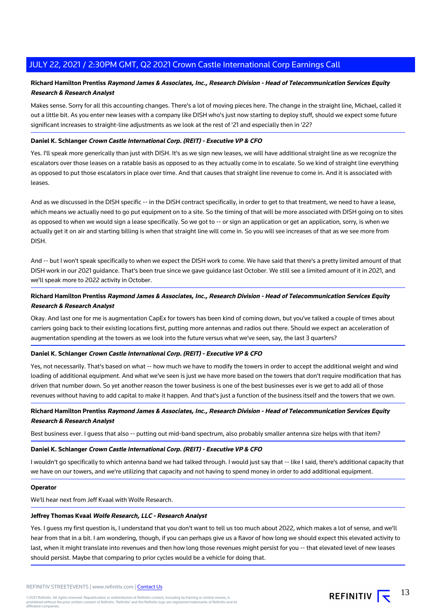## **Richard Hamilton Prentiss Raymond James & Associates, Inc., Research Division - Head of Telecommunication Services Equity Research & Research Analyst**

Makes sense. Sorry for all this accounting changes. There's a lot of moving pieces here. The change in the straight line, Michael, called it out a little bit. As you enter new leases with a company like DISH who's just now starting to deploy stuff, should we expect some future significant increases to straight-line adjustments as we look at the rest of '21 and especially then in '22?

#### **Daniel K. Schlanger Crown Castle International Corp. (REIT) - Executive VP & CFO**

Yes. I'll speak more generically than just with DISH. It's as we sign new leases, we will have additional straight line as we recognize the escalators over those leases on a ratable basis as opposed to as they actually come in to escalate. So we kind of straight line everything as opposed to put those escalators in place over time. And that causes that straight line revenue to come in. And it is associated with leases.

And as we discussed in the DISH specific -- in the DISH contract specifically, in order to get to that treatment, we need to have a lease, which means we actually need to go put equipment on to a site. So the timing of that will be more associated with DISH going on to sites as opposed to when we would sign a lease specifically. So we got to -- or sign an application or get an application, sorry, is when we actually get it on air and starting billing is when that straight line will come in. So you will see increases of that as we see more from DISH.

And -- but I won't speak specifically to when we expect the DISH work to come. We have said that there's a pretty limited amount of that DISH work in our 2021 guidance. That's been true since we gave guidance last October. We still see a limited amount of it in 2021, and we'll speak more to 2022 activity in October.

## **Richard Hamilton Prentiss Raymond James & Associates, Inc., Research Division - Head of Telecommunication Services Equity Research & Research Analyst**

Okay. And last one for me is augmentation CapEx for towers has been kind of coming down, but you've talked a couple of times about carriers going back to their existing locations first, putting more antennas and radios out there. Should we expect an acceleration of augmentation spending at the towers as we look into the future versus what we've seen, say, the last 3 quarters?

#### **Daniel K. Schlanger Crown Castle International Corp. (REIT) - Executive VP & CFO**

Yes, not necessarily. That's based on what -- how much we have to modify the towers in order to accept the additional weight and wind loading of additional equipment. And what we've seen is just we have more based on the towers that don't require modification that has driven that number down. So yet another reason the tower business is one of the best businesses ever is we get to add all of those revenues without having to add capital to make it happen. And that's just a function of the business itself and the towers that we own.

## **Richard Hamilton Prentiss Raymond James & Associates, Inc., Research Division - Head of Telecommunication Services Equity Research & Research Analyst**

Best business ever. I guess that also -- putting out mid-band spectrum, also probably smaller antenna size helps with that item?

#### **Daniel K. Schlanger Crown Castle International Corp. (REIT) - Executive VP & CFO**

I wouldn't go specifically to which antenna band we had talked through. I would just say that -- like I said, there's additional capacity that we have on our towers, and we're utilizing that capacity and not having to spend money in order to add additional equipment.

#### **Operator**

We'll hear next from Jeff Kvaal with Wolfe Research.

#### **Jeffrey Thomas Kvaal Wolfe Research, LLC - Research Analyst**

Yes. I guess my first question is, I understand that you don't want to tell us too much about 2022, which makes a lot of sense, and we'll hear from that in a bit. I am wondering, though, if you can perhaps give us a flavor of how long we should expect this elevated activity to last, when it might translate into revenues and then how long those revenues might persist for you -- that elevated level of new leases should persist. Maybe that comparing to prior cycles would be a vehicle for doing that.

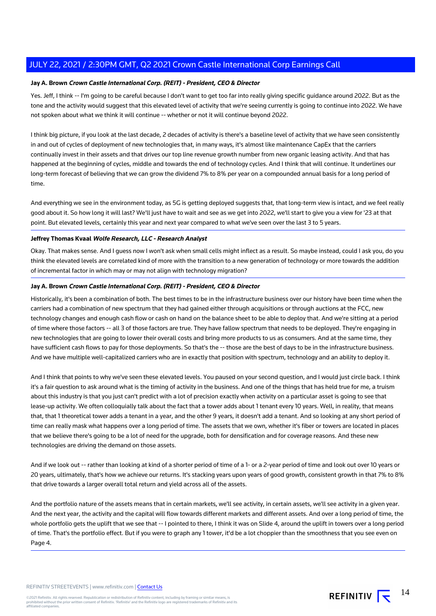## **Jay A. Brown Crown Castle International Corp. (REIT) - President, CEO & Director**

Yes. Jeff, I think -- I'm going to be careful because I don't want to get too far into really giving specific guidance around 2022. But as the tone and the activity would suggest that this elevated level of activity that we're seeing currently is going to continue into 2022. We have not spoken about what we think it will continue -- whether or not it will continue beyond 2022.

I think big picture, if you look at the last decade, 2 decades of activity is there's a baseline level of activity that we have seen consistently in and out of cycles of deployment of new technologies that, in many ways, it's almost like maintenance CapEx that the carriers continually invest in their assets and that drives our top line revenue growth number from new organic leasing activity. And that has happened at the beginning of cycles, middle and towards the end of technology cycles. And I think that will continue. It underlines our long-term forecast of believing that we can grow the dividend 7% to 8% per year on a compounded annual basis for a long period of time.

And everything we see in the environment today, as 5G is getting deployed suggests that, that long-term view is intact, and we feel really good about it. So how long it will last? We'll just have to wait and see as we get into 2022, we'll start to give you a view for '23 at that point. But elevated levels, certainly this year and next year compared to what we've seen over the last 3 to 5 years.

#### **Jeffrey Thomas Kvaal Wolfe Research, LLC - Research Analyst**

Okay. That makes sense. And I guess now I won't ask when small cells might inflect as a result. So maybe instead, could I ask you, do you think the elevated levels are correlated kind of more with the transition to a new generation of technology or more towards the addition of incremental factor in which may or may not align with technology migration?

### **Jay A. Brown Crown Castle International Corp. (REIT) - President, CEO & Director**

Historically, it's been a combination of both. The best times to be in the infrastructure business over our history have been time when the carriers had a combination of new spectrum that they had gained either through acquisitions or through auctions at the FCC, new technology changes and enough cash flow or cash on hand on the balance sheet to be able to deploy that. And we're sitting at a period of time where those factors -- all 3 of those factors are true. They have fallow spectrum that needs to be deployed. They're engaging in new technologies that are going to lower their overall costs and bring more products to us as consumers. And at the same time, they have sufficient cash flows to pay for those deployments. So that's the -- those are the best of days to be in the infrastructure business. And we have multiple well-capitalized carriers who are in exactly that position with spectrum, technology and an ability to deploy it.

And I think that points to why we've seen these elevated levels. You paused on your second question, and I would just circle back. I think it's a fair question to ask around what is the timing of activity in the business. And one of the things that has held true for me, a truism about this industry is that you just can't predict with a lot of precision exactly when activity on a particular asset is going to see that lease-up activity. We often colloquially talk about the fact that a tower adds about 1 tenant every 10 years. Well, in reality, that means that, that 1 theoretical tower adds a tenant in a year, and the other 9 years, it doesn't add a tenant. And so looking at any short period of time can really mask what happens over a long period of time. The assets that we own, whether it's fiber or towers are located in places that we believe there's going to be a lot of need for the upgrade, both for densification and for coverage reasons. And these new technologies are driving the demand on those assets.

And if we look out -- rather than looking at kind of a shorter period of time of a 1- or a 2-year period of time and look out over 10 years or 20 years, ultimately, that's how we achieve our returns. It's stacking years upon years of good growth, consistent growth in that 7% to 8% that drive towards a larger overall total return and yield across all of the assets.

And the portfolio nature of the assets means that in certain markets, we'll see activity, in certain assets, we'll see activity in a given year. And the next year, the activity and the capital will flow towards different markets and different assets. And over a long period of time, the whole portfolio gets the uplift that we see that -- I pointed to there, I think it was on Slide 4, around the uplift in towers over a long period of time. That's the portfolio effect. But if you were to graph any 1 tower, it'd be a lot choppier than the smoothness that you see even on Page 4.